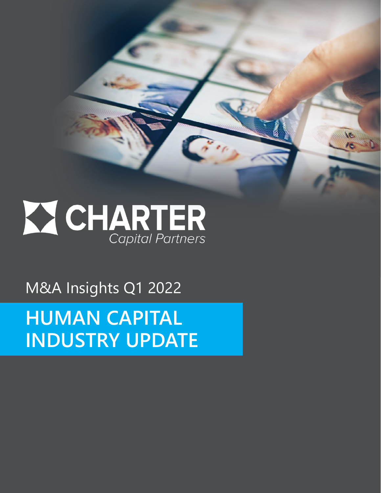**Z CHARTER** 

 $\lambda_{\rm min}$ 

M&A Insights Q1 2022

**HUMAN CAPITAL INDUSTRY UPDATE**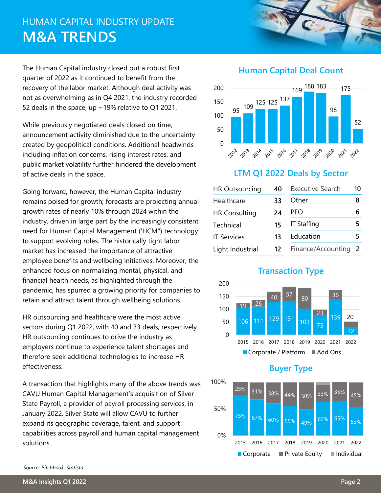## HUMAN CAPITAL INDUSTRY UPDATE **M&A TRENDS**

The Human Capital industry closed out a robust first quarter of 2022 as it continued to benefit from the recovery of the labor market. Although deal activity was not as overwhelming as in Q4 2021, the industry recorded 52 deals in the space, up ~19% relative to Q1 2021.

While previously negotiated deals closed on time, announcement activity diminished due to the uncertainty created by geopolitical conditions. Additional headwinds including inflation concerns, rising interest rates, and public market volatility further hindered the development of active deals in the space.

Going forward, however, the Human Capital industry remains poised for growth; forecasts are projecting annual growth rates of nearly 10% through 2024 within the industry, driven in large part by the increasingly consistent need for Human Capital Management ('HCM") technology to support evolving roles. The historically tight labor market has increased the importance of attractive employee benefits and wellbeing initiatives. Moreover, the enhanced focus on normalizing mental, physical, and financial health needs, as highlighted through the pandemic, has spurred a growing priority for companies to retain and attract talent through wellbeing solutions.

HR outsourcing and healthcare were the most active sectors during Q1 2022, with 40 and 33 deals, respectively. HR outsourcing continues to drive the industry as employers continue to experience talent shortages and therefore seek additional technologies to increase HR effectiveness.

A transaction that highlights many of the above trends was CAVU Human Capital Management's acquisition of Silver State Payroll, a provider of payroll processing services, in January 2022. Silver State will allow CAVU to further expand its geographic coverage, talent, and support capabilities across payroll and human capital management solutions.

#### **Human Capital Deal Count**



#### **LTM Q1 2022 Deals by Sector**

| <b>HR Outsourcing</b> | 40 | <b>Executive Search</b> | 10 |
|-----------------------|----|-------------------------|----|
| Healthcare            | 33 | Other                   | 8  |
| <b>HR Consulting</b>  | 24 | PFO                     |    |
| Technical             | 15 | <b>IT Staffing</b>      |    |
| <b>IT Services</b>    | 13 | Education               |    |
| Light Industrial      | 12 | Finance/Accounting      |    |







#### *Source: Pitchbook, Statista*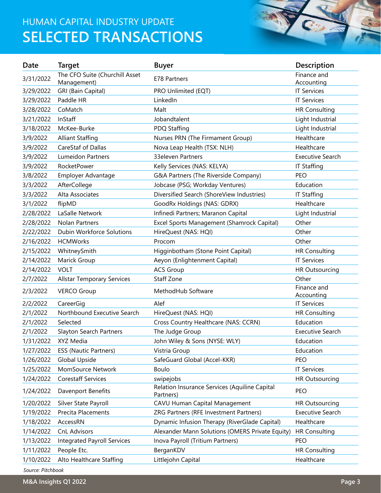## HUMAN CAPITAL INDUSTRY UPDATE **SELECTED TRANSACTIONS**



| Date              | <b>Target</b>                                 | <b>Buyer</b>                                               | <b>Description</b>        |
|-------------------|-----------------------------------------------|------------------------------------------------------------|---------------------------|
| 3/31/2022         | The CFO Suite (Churchill Asset<br>Management) | E78 Partners                                               | Finance and<br>Accounting |
| 3/29/2022         | <b>GRI (Bain Capital)</b>                     | PRO Unlimited (EQT)                                        | <b>IT Services</b>        |
| 3/29/2022         | Paddle HR                                     | LinkedIn                                                   | <b>IT Services</b>        |
| 3/28/2022         | CoMatch                                       | Malt                                                       | <b>HR Consulting</b>      |
| 3/21/2022         | InStaff                                       | Jobandtalent                                               | Light Industrial          |
| 3/18/2022         | McKee-Burke                                   | PDQ Staffing                                               | Light Industrial          |
| 3/9/2022          | <b>Alliant Staffing</b>                       | Nurses PRN (The Firmament Group)                           | Healthcare                |
| 3/9/2022          | CareStaf of Dallas                            | Nova Leap Health (TSX: NLH)                                | Healthcare                |
| 3/9/2022          | <b>Lumeidon Partners</b>                      | 33eleven Partners                                          | <b>Executive Search</b>   |
| 3/9/2022          | RocketPower                                   | Kelly Services (NAS: KELYA)                                | <b>IT Staffing</b>        |
| 3/8/2022          | Employer Advantage                            | G&A Partners (The Riverside Company)                       | <b>PEO</b>                |
| 3/3/2022          | AfterCollege                                  | Jobcase (PSG; Workday Ventures)                            | Education                 |
| 3/3/2022          | Alta Associates                               | Diversified Search (ShoreView Industries)                  | <b>IT Staffing</b>        |
| 3/1/2022          | flipMD                                        | GoodRx Holdings (NAS: GDRX)                                | Healthcare                |
| 2/28/2022         | LaSalle Network                               | Infinedi Partners; Maranon Capital                         | Light Industrial          |
| 2/28/2022         | <b>Nolan Partners</b>                         | Excel Sports Management (Shamrock Capital)                 | Other                     |
| 2/22/2022         | Dubin Workforce Solutions                     | HireQuest (NAS: HQI)                                       | Other                     |
| 2/16/2022         | <b>HCMWorks</b>                               | Procom                                                     | Other                     |
| 2/15/2022         | WhitneySmith                                  | Higginbotham (Stone Point Capital)                         | <b>HR Consulting</b>      |
| 2/14/2022         | Marick Group                                  | Aeyon (Enlightenment Capital)                              | <b>IT Services</b>        |
| 2/14/2022         | <b>VOLT</b>                                   | <b>ACS Group</b>                                           | <b>HR Outsourcing</b>     |
| 2/7/2022          | <b>Allstar Temporary Services</b>             | Staff Zone                                                 | Other                     |
| 2/3/2022          | <b>VERCO Group</b>                            | MethodHub Software                                         | Finance and<br>Accounting |
| 2/2/2022          | CareerGig                                     | Alef                                                       | <b>IT Services</b>        |
| 2/1/2022          | Northbound Executive Search                   | HireQuest (NAS: HQI)                                       | <b>HR Consulting</b>      |
| 2/1/2022          | Selected                                      | Cross Country Healthcare (NAS: CCRN)                       | Education                 |
| 2/1/2022          | Slayton Search Partners                       | The Judge Group                                            | <b>Executive Search</b>   |
| 1/31/2022         | XYZ Media                                     | John Wiley & Sons (NYSE: WLY)                              | Education                 |
| 1/27/2022         | <b>ESS (Nautic Partners)</b>                  | Vistria Group                                              | Education                 |
| 1/26/2022         | Global Upside                                 | SafeGuard Global (Accel-KKR)                               | PEO                       |
| 1/25/2022         | MomSource Network                             | <b>Boulo</b>                                               | <b>IT Services</b>        |
| 1/24/2022         | <b>Corestaff Services</b>                     | swipejobs                                                  | <b>HR Outsourcing</b>     |
| 1/24/2022         | Davenport Benefits                            | Relation Insurance Services (Aquiline Capital<br>Partners) | PEO                       |
| 1/20/2022         | Silver State Payroll                          | CAVU Human Capital Management                              | <b>HR Outsourcing</b>     |
| 1/19/2022         | Precita Placements                            | ZRG Partners (RFE Investment Partners)                     | <b>Executive Search</b>   |
| 1/18/2022         | AccessRN                                      | Dynamic Infusion Therapy (RiverGlade Capital)              | Healthcare                |
| 1/14/2022         | <b>CnL Advisors</b>                           | Alexander Mann Solutions (OMERS Private Equity)            | <b>HR Consulting</b>      |
| 1/13/2022         | <b>Integrated Payroll Services</b>            | Inova Payroll (Tritium Partners)                           | PEO                       |
| 1/11/2022         | People Etc.                                   | BerganKDV                                                  | <b>HR Consulting</b>      |
| 1/10/2022         | Alto Healthcare Staffing                      | Littlejohn Capital                                         | Healthcare                |
| Source: Pitchbook |                                               |                                                            |                           |

**M&A Insights Q1 2022 Page 3**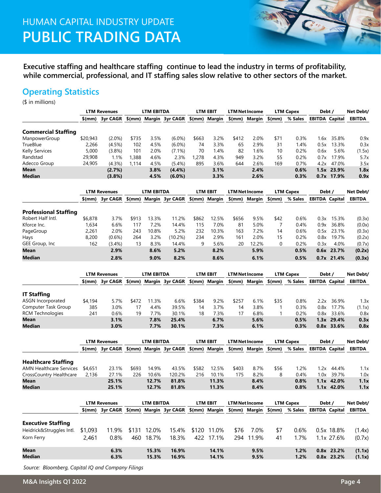## HUMAN CAPITAL INDUSTRY UPDATE **PUBLIC TRADING DATA**

**Executive staffing and healthcare staffing continue to lead the industry in terms of profitability, while commercial, professional, and IT staffing sales slow relative to other sectors of the market.** 

#### **Operating Statistics**

(\$ in millions)

|                                | <b>LTM Revenues</b> |                                                                                   | <b>LTM EBITDA</b> |                   |                                      |                 | LTM EBIT        | <b>LTM Net Income</b> |                       | <b>LTM Capex</b> |                  | Debt/                 |                          | Net Debt/        |
|--------------------------------|---------------------|-----------------------------------------------------------------------------------|-------------------|-------------------|--------------------------------------|-----------------|-----------------|-----------------------|-----------------------|------------------|------------------|-----------------------|--------------------------|------------------|
|                                |                     | \$(mm) 3yr CAGR                                                                   |                   |                   | \$(mm) Margin 3yr CAGR \$(mm) Margin |                 |                 |                       | $$$ (mm) Margin       | $$$ (mm)         | % Sales          | <b>EBITDA Capital</b> |                          | <b>EBITDA</b>    |
|                                |                     |                                                                                   |                   |                   |                                      |                 |                 |                       |                       |                  |                  |                       |                          |                  |
| <b>Commercial Staffing</b>     | \$20,943            | $(2.0\%)$                                                                         |                   | 3.5%              |                                      |                 | 3.2%            |                       |                       |                  | 0.3%             |                       | 35.8%                    | 0.9x             |
| ManpowerGroup<br>TrueBlue      | 2,266               |                                                                                   | \$735<br>102      | 4.5%              | $(6.0\%)$                            | \$663<br>74     | 3.3%            | \$412<br>65           | 2.0%<br>2.9%          | \$71<br>31       | 1.4%             | 1.6x<br>0.5x          | 13.3%                    | 0.3x             |
| Kelly Services                 | 5,000               | $(4.5\%)$                                                                         | 101               | 2.0%              | $(6.0\%)$                            | 70              | 1.4%            | 82                    | 1.6%                  |                  | 0.2%             |                       | 5.6%                     |                  |
| Randstad                       |                     | $(3.8\%)$                                                                         |                   |                   | $(7.1\%)$                            |                 |                 | 949                   |                       | 10<br>55         |                  | 0.6x                  |                          | (1.5x)           |
|                                | 29,908              | 1.1%                                                                              | 1,388             | 4.6%              | 2.3%                                 | 1,278           | 4.3%            |                       | 3.2%                  |                  | 0.2%             | 0.7x                  | 17.9%                    | 5.7x             |
| Adecco Group                   | 24,905              | (4.3%)                                                                            | 1,114             | 4.5%              | $(5.4\%)$                            | 895             | 3.6%            | 644                   | 2.6%                  | 169              | 0.7%             | 4.2x                  | 47.0%                    | 3.5x             |
| Mean<br>Median                 |                     | (2.7%)<br>(3.8%)                                                                  |                   | 3.8%<br>4.5%      | $(4.4\%)$<br>$(6.0\%)$               |                 | 3.1%<br>3.3%    |                       | 2.4%<br>2.6%          |                  | 0.6%<br>0.3%     |                       | 1.5x 23.9%<br>0.7x 17.9% | 1.8x<br>0.9x     |
|                                |                     | <b>LTM Revenues</b>                                                               |                   | <b>LTM EBITDA</b> |                                      |                 | <b>LTM EBIT</b> |                       | <b>LTM Net Income</b> |                  | <b>LTM Capex</b> | Debt /                |                          | Net Debt/        |
|                                |                     | \$(mm) 3yr CAGR                                                                   |                   |                   | \$(mm) Margin 3yr CAGR               |                 | \$(mm) Margin   |                       | \$(mm) Margin         | $$$ (mm)         | % Sales          | <b>EBITDA Capital</b> |                          | <b>EBITDA</b>    |
|                                |                     |                                                                                   |                   |                   |                                      |                 |                 |                       |                       |                  |                  |                       |                          |                  |
| <b>Professional Staffing</b>   |                     |                                                                                   |                   |                   |                                      |                 |                 |                       |                       |                  |                  |                       |                          |                  |
| Robert Half Intl.              | \$6,878             | 3.7%                                                                              | \$913             | 13.3%             | 11.2%                                | \$862           | 12.5%           | \$656                 | 9.5%                  | \$42             | 0.6%             | 0.3x                  | 15.3%                    | (0.3x)           |
| Kforce Inc.                    | 1,634               | 6.6%                                                                              | 117               | 7.2%              | 14.4%                                | 115             | 7.0%            | 81                    | 5.0%                  | 7                | 0.4%             | 0.9x                  | 36.8%                    | (0.0x)           |
| PageGroup                      | 2,261               | 2.0%                                                                              | 243               | 10.8%             | 5.2%                                 | 232             | 10.3%           | 163                   | 7.2%                  | 14               | 0.6%             | 0.5x                  | 23.1%                    | (0.3x)           |
| Hays                           | 8,200               | $(0.6\%)$                                                                         | 264               | 3.2%              | (10.2%)                              | 234             | 2.9%            | 161                   | 2.0%                  | 15               | 0.2%             | 0.8x                  | 19.7%                    | (0.2x)           |
| GEE Group, Inc.                | 162                 | (3.4%)                                                                            | 13                | 8.3%              | 14.4%                                | 9               | 5.6%            | 20                    | 12.2%                 | 0                | 0.2%             | 0.3x                  | 4.0%                     | (0.7x)           |
| Mean                           |                     | 2.9%                                                                              |                   | 8.6%              | 5.2%                                 |                 | 8.2%            |                       | 5.9%                  |                  | 0.5%             |                       | 0.6x 23.7%               | (0.2x)           |
| <b>Median</b>                  |                     | 2.8%                                                                              |                   | 9.0%              | 8.2%                                 |                 | 8.6%            |                       | 6.1%                  |                  | 0.5%             |                       | 0.7x 21.4%               | (0.3x)           |
|                                |                     |                                                                                   |                   |                   |                                      |                 |                 |                       |                       |                  |                  |                       |                          |                  |
|                                |                     | <b>LTM Revenues</b>                                                               |                   | <b>LTM EBITDA</b> |                                      |                 | <b>LTM EBIT</b> |                       | <b>LTM Net Income</b> |                  | <b>LTM Capex</b> | Debt /                |                          | Net Debt/        |
|                                |                     | \$(mm) 3yr CAGR                                                                   |                   |                   | \$(mm) Margin 3yr CAGR               |                 | \$(mm) Margin   |                       | \$(mm) Margin         | $$$ (mm)         | % Sales          | <b>EBITDA Capital</b> |                          | <b>EBITDA</b>    |
|                                |                     |                                                                                   |                   |                   |                                      |                 |                 |                       |                       |                  |                  |                       |                          |                  |
| <b>IT Staffing</b>             |                     |                                                                                   |                   |                   |                                      |                 |                 |                       |                       |                  |                  |                       |                          |                  |
| <b>ASGN</b> Incorporated       | \$4,194             | 5.7%                                                                              | \$472             | 11.3%             | 6.6%                                 | \$384           | 9.2%            | \$257                 | 6.1%                  | \$35             | 0.8%             | 2.2x                  | 36.9%                    | 1.3x             |
| Computer Task Group            | 385                 | 3.0%                                                                              | 17                | 4.4%              | 39.5%                                | 14              | 3.7%            | 14                    | 3.8%                  | $\mathbf{1}$     | 0.3%             | 0.8x                  | 17.7%                    | (1.1x)           |
| <b>RCM Technologies</b>        | 241                 | 0.6%                                                                              | 19                | 7.7%              | 30.1%                                | 18              | 7.3%            | 17                    | 6.8%                  | 1                | 0.2%             | 0.8x                  | 33.6%                    | 0.8x             |
| Mean                           |                     | 3.1%                                                                              |                   | 7.8%              | 25.4%                                |                 | 6.7%            |                       | 5.6%                  |                  | 0.5%             |                       | 1.3x 29.4%               | 0.3x             |
| <b>Median</b>                  |                     | 3.0%                                                                              |                   | 7.7%              | 30.1%                                |                 | 7.3%            |                       | 6.1%                  |                  | 0.3%             |                       | 0.8x 33.6%               | 0.8x             |
|                                |                     | <b>LTM Revenues</b>                                                               |                   | <b>LTM EBITDA</b> |                                      | <b>LTM EBIT</b> |                 | <b>LTM Net Income</b> |                       | <b>LTM Capex</b> |                  | Debt /                |                          | Net Debt/        |
|                                | \$(mm)              | 3yr CAGR                                                                          |                   |                   | \$(mm) Margin 3yr CAGR \$(mm) Margin |                 |                 |                       | \$(mm) Margin         | $$$ (mm)         | % Sales          | <b>EBITDA Capital</b> |                          | <b>EBITDA</b>    |
|                                |                     |                                                                                   |                   |                   |                                      |                 |                 |                       |                       |                  |                  |                       |                          |                  |
| <b>Healthcare Staffing</b>     |                     |                                                                                   |                   |                   |                                      |                 |                 |                       |                       |                  |                  |                       |                          |                  |
| <b>AMN Healthcare Services</b> | \$4,651             | 23.1%                                                                             | \$693             | 14.9%             | 43.5%                                | \$582           | 12.5%           | \$403                 | 8.7%                  | \$56             | 1.2%             | 1.2x                  | 44.4%                    | 1.1x             |
| CrossCountry Healthcare        | 2,136               | 27.1%                                                                             | 226               | 10.6%             | 120.2%                               | 216             | 10.1%           | 175                   | 8.2%                  | 8                | 0.4%             | 1.0x                  | 39.7%                    | 1.0x             |
| Mean                           |                     | 25.1%                                                                             |                   | 12.7%             | 81.8%                                |                 | 11.3%           |                       | 8.4%                  |                  | 0.8%             |                       | 1.1x 42.0%               | 1.1x             |
| Median                         |                     | 25.1%                                                                             |                   | 12.7%             | 81.8%                                |                 | 11.3%           |                       | 8.4%                  |                  | 0.8%             |                       | 1.1x 42.0%               | 1.1x             |
|                                |                     |                                                                                   |                   |                   |                                      |                 |                 |                       |                       |                  |                  |                       |                          |                  |
|                                |                     | <b>LTM Revenues</b>                                                               |                   | <b>LTM EBITDA</b> |                                      |                 | <b>LTM EBIT</b> |                       | <b>LTM Net Income</b> |                  | <b>LTM Capex</b> | Debt /                |                          | Net Debt/        |
|                                |                     | \$(mm) 3yr CAGR \$(mm) Margin 3yr CAGR \$(mm) Margin \$(mm) Margin \$(mm) % Sales |                   |                   |                                      |                 |                 |                       |                       |                  |                  | <b>EBITDA Capital</b> |                          | <b>EBITDA</b>    |
| <b>Executive Staffing</b>      |                     |                                                                                   |                   |                   |                                      |                 |                 |                       |                       |                  |                  |                       |                          |                  |
| Heidrick&Struggles Intl.       | \$1,093             | 11.9%                                                                             |                   | \$131 12.0%       | 15.4%                                |                 | \$120 11.0%     | \$76                  | 7.0%                  | \$7              | 0.6%             |                       | 0.5x 18.8%               | (1.4x)           |
| Korn Ferry                     | 2,461               | 0.8%                                                                              |                   | 460 18.7%         | 18.3%                                |                 | 422 17.1%       | 294                   | 11.9%                 | 41               | 1.7%             |                       | 1.1x 27.6%               | (0.7x)           |
|                                |                     |                                                                                   |                   |                   |                                      |                 |                 |                       |                       |                  |                  |                       |                          |                  |
| Mean<br><b>Median</b>          |                     | 6.3%<br>6.3%                                                                      |                   | 15.3%<br>15.3%    | 16.9%<br>16.9%                       |                 | 14.1%<br>14.1%  |                       | 9.5%<br>9.5%          |                  | 1.2%<br>1.2%     |                       | 0.8x 23.2%<br>0.8x 23.2% | (1.1x)<br>(1.1x) |

*Source: Bloomberg, Capital IQ and Company Filings*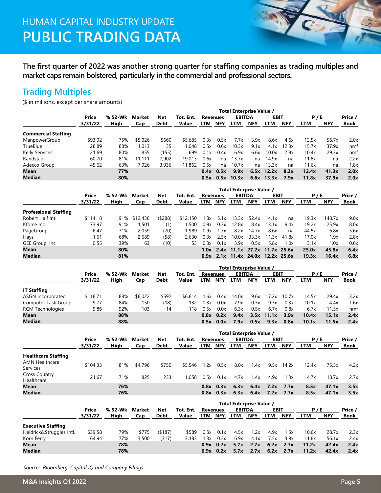## HUMAN CAPITAL INDUSTRY UPDATE **PUBLIC TRADING DATA**

**The first quarter of 2022 was another strong quarter for staffing companies as trading multiples and market caps remain bolstered, particularly in the commercial and professional sectors.**

#### **Trading Multiples**

(\$ in millions, except per share amounts)

|                            |                  |         |         |             |              |      | Total Enterprise Value / |               |            |                 |            |            |            |         |
|----------------------------|------------------|---------|---------|-------------|--------------|------|--------------------------|---------------|------------|-----------------|------------|------------|------------|---------|
|                            | Price<br>3/31/22 | % 52-Wk | Market  | <b>Net</b>  | Tot. Ent.    |      | <b>Revenues</b>          | <b>EBITDA</b> |            | <b>EBIT</b>     |            | P/E        |            | Price / |
|                            |                  | High    | Cap     | <b>Debt</b> | <b>Value</b> | LTM  | <b>NFY</b>               | <b>LTM</b>    | <b>NFY</b> | <b>LTM</b>      | <b>NFY</b> | <b>LTM</b> | <b>NFY</b> | Book    |
| <b>Commercial Staffing</b> |                  |         |         |             |              |      |                          |               |            |                 |            |            |            |         |
| ManpowerGroup              | \$93.92          | 75%     | \$5,026 | \$660       | \$5,685      | 0.3x | 0.5x                     | 7.7x          | 3.9x       | 8.6x            | 4.6x       | 12.5x      | 56.7x      | 2.0x    |
| TrueBlue                   | 28.89            | 88%     | 1.013   | 35          | 1.048        | 0.5x | 0.6x                     | 10.3x         | 9.1x       | 14.1x           | 12.3x      | 15.7x      | 37.9x      | nmf     |
| <b>Kelly Services</b>      | 21.69            | 80%     | 855     | (155)       | 699          | 0.1x | 0.4x                     | 6.9x          | 6.6x       | 10.0x           | 7.9x       | 10.4x      | 29.3x      | nmf     |
| Randstad                   | 60.70            | 81%     | 11.111  | 7.902       | 19.013       | 0.6x | na                       | 13.7x         | na         | 14.9x           | na         | 11.8x      | na         | 2.2x    |
| Adecco Group               | 45.62            | 63%     | 7.926   | 3,936       | 11,862       | 0.5x | na                       | 10.7x         | na         | 13.3x           | na         | 11.6x      | na         | 1.8x    |
| <b>Mean</b>                |                  | 77%     |         |             |              | 0.4x | 0.5x                     | 9.9x          | 6.5x       | 12.2x           | 8.3x       | 12.4x      | 41.3x      | 2.0x    |
| <b>Median</b>              |                  | 80%     |         |             |              |      | $0.5x$ 0.5x              | 10.3x         |            | $6.6x$ 13.3 $x$ | 7.9x       | 11.8x      | 37.9x      | 2.0x    |

|                              |              |                 |              |             |              |      |            |               | Total Enterprise Value /                |       |            |            |            | Price / |
|------------------------------|--------------|-----------------|--------------|-------------|--------------|------|------------|---------------|-----------------------------------------|-------|------------|------------|------------|---------|
|                              | <b>Price</b> | % 52-Wk<br>Hiah | Market       | <b>Net</b>  | Tot. Ent.    |      | Revenues   | <b>EBITDA</b> |                                         | EBIT  |            | P/E        |            |         |
|                              | 3/31/22      |                 | Cap          | <b>Debt</b> | <b>Value</b> | LTM  | <b>NFY</b> | <b>LTM</b>    | <b>NFY</b>                              | LTM   | <b>NFY</b> | <b>LTM</b> | <b>NFY</b> | Book    |
| <b>Professional Staffing</b> |              |                 |              |             |              |      |            |               |                                         |       |            |            |            |         |
| Robert Half Intl.            | \$114.18     |                 | 91% \$12,438 | (5288)      | \$12,150     | 1.8x | 5.1x       | 13.3x         | 52.4x                                   | 14.1x | na         | 19.3x      | 148.7x     | 9.0x    |
| Kforce Inc.                  | 73.97        | 91%             | 1,501        | (1)         | 1,500        | 0.9x | 0.3x       | 12.8x         | 8.4x                                    | 13.1x | 9.4x       | 19.2x      | 25.9x      | 8.0x    |
| PageGroup                    | 6.47         | 71%             | 2.059        | (70)        | 1.989        | 0.9x | 1.7x       | 8.2x          | 14.7x                                   | 8.6x  | na         | 44.5x      | 6.8x       | 5.6x    |
| Hays                         | 1.61         | 68%             | 2,689        | (58)        | 2.630        | 0.3x | 2.5x       | 10.0x         | 33.3x                                   | 11.3x | 41.8x      | 17.0x      | 1.9x       | 2.8x    |
| GEE Group, Inc.              | 0.55         | 39%             | 63           | (10)        | 53           | 0.3x | 0.1x       | 3.9x          | 0.5x                                    | 5.8x  | 1.0x       | 3.1x       | 1.0x       | 0.6x    |
| Mean                         |              | 80%             |              |             |              |      |            |               | $1.0x$ 2.4x $11.1x$ 27.2x $11.7x$ 25.6x |       |            | 25.0x      | 45.8x      | 6.4x    |
| Median                       |              | 81%             |              |             |              |      |            |               | $0.9x$ 2.1x 11.4x 24.0x 12.2x 25.6x     |       |            | 19.3x      | 16.4x      | 6.8x    |

|                         |              |         |               |            |           |      |                                  | Total Enterprise Value / |            |                 |            |            |            |         |
|-------------------------|--------------|---------|---------------|------------|-----------|------|----------------------------------|--------------------------|------------|-----------------|------------|------------|------------|---------|
|                         | <b>Price</b> | % 52-Wk | Market<br>Cap | <b>Net</b> | Tot. Ent. |      | <b>EBITDA</b><br><b>Revenues</b> |                          |            | EBIT            |            | P/E        |            | Price / |
|                         | 3/31/22      | Hiah    |               | Debt       | Value     | LTM  | <b>NFY</b>                       | LTM                      | <b>NFY</b> | LTM             | <b>NFY</b> | <b>LTM</b> | <b>NFY</b> | Book    |
| <b>IT Staffing</b>      |              |         |               |            |           |      |                                  |                          |            |                 |            |            |            |         |
| ASGN Incorporated       | \$116.71     | 88%     | \$6,022       | \$592      | \$6,614   | .6x  | 0.4x                             | 14.0x                    | 9.6x       | 17.2x           | 10.7x      | 14.5x      | 29.4x      | 3.2x    |
| Computer Task Group     | 9.77         | 84%     | 150           | (18)       | 132       | 0.3x | 0.0x                             | 7.9x                     | 0.3x       | 9.3x            | 0.3x       | 10.1x      | 4.4x       | 1.6x    |
| <b>RCM Technologies</b> | 9.86         | 92%     | 103           | 14         | 118       | 0.5x | 0.0x                             | 6.3x                     | 0.5x       | 6.7x            | 0.8x       | 6.7x       | 11.5x      | nmf     |
| Mean                    |              | 88%     |               |            |           |      | $0.8x$ 0.2x                      | 9.4x                     |            | $3.5x$ 11.1 $x$ | 3.9x       | 10.4x      | 15.1x      | 2.4x    |
| Median                  |              | 88%     |               |            |           |      | $0.5x$ 0.0 $x$                   | 7.9x                     | 0.5x       | 9.3x            | 0.8x       | 10.1x      | 11.5x      | 2.4x    |

|                                          |          |         |         |             |              |      |                                                 | Total Enterprise Value / |            |             |            |            |            |         |
|------------------------------------------|----------|---------|---------|-------------|--------------|------|-------------------------------------------------|--------------------------|------------|-------------|------------|------------|------------|---------|
|                                          | Price    | % 52-Wk | Market  | <b>Net</b>  | Tot. Ent.    |      | <b>EBITDA</b><br><b>EBIT</b><br><b>Revenues</b> |                          |            |             |            | P/E        |            | Price / |
|                                          | 3/31/22  | High    | Cap     | <b>Debt</b> | <b>Value</b> | LTM  | <b>NFY</b>                                      | <b>LTM</b>               | <b>NFY</b> | <b>LTM</b>  | <b>NFY</b> | <b>LTM</b> | <b>NFY</b> | Book    |
| <b>Healthcare Staffing</b>               |          |         |         |             |              |      |                                                 |                          |            |             |            |            |            |         |
| <b>AMN Healthcare</b><br><b>Services</b> | \$104.33 | 81%     | \$4,796 | \$750       | \$5,546      | 1.2x | 0.5x                                            | 8.0x                     | 11.4x      | 9.5x        | 14.2x      | 12.4x      | 75.5x      | 4.2x    |
| <b>Cross Country</b><br>Healthcare       | 21.67    | 71%     | 825     | 233         | 1.058        | 0.5x | 0.1x                                            | 4.7x                     | 1.4x       | 4.9x        | 1.3x       | 4.7x       | 18.7x      | 2.7x    |
| <b>Mean</b>                              |          | 76%     |         |             |              |      | $0.8x$ 0.3x                                     | 6.3x                     | 6.4x       | 7.2x        | 7.7x       | 8.5x       | 47.1x      | 3.5x    |
| <b>Median</b>                            |          | 76%     |         |             |              |      | $0.8x$ 0.3 $x$                                  | 6.3x                     | 6.4x       | 7.2x        | 7.7x       | 8.5x       | 47.1x      | 3.5x    |
|                                          |          |         |         |             |              |      |                                                 | Total Enterprise Value / |            |             |            |            |            |         |
|                                          | Price    | % 52-Wk | Market  | <b>Net</b>  | Tot. Ent.    |      | <b>Revenues</b>                                 | <b>EBITDA</b>            |            | <b>EBIT</b> |            | P/E        |            | Price / |
|                                          | 3/31/22  | High    | Cap     | <b>Debt</b> | <b>Value</b> | LTM  | <b>NFY</b>                                      | <b>LTM</b>               | <b>NFY</b> | LTM         | <b>NFY</b> | <b>LTM</b> | <b>NFY</b> | Book    |

| <b>Executive Staffing</b> |         |     |       |        |       |      |      |                                           |      |        |      |       |       |      |
|---------------------------|---------|-----|-------|--------|-------|------|------|-------------------------------------------|------|--------|------|-------|-------|------|
| Heidrick&Struggles Intl.  | \$39.58 | 79% | \$775 | (5187) | \$589 |      |      | 0.5x  0.1x  4.5x  1.2x                    |      | 4.9x   | 1.5x | 10.6x | 28.7x | 2.3x |
| Korn Ferry                | 64.94   | 77% | 3,500 | (317)  | 3.183 | 1.3x | 0.3x | 6.9x                                      | 4.1x | 7.5x   | 3.9x | 11.8x | 56.1x | 2.4x |
| Mean                      |         | 78% |       |        |       |      |      | $0.9x$ $0.2x$ $5.7x$ $2.7x$ $6.2x$ $2.7x$ |      |        |      | 11.2x | 42.4x | 2.4x |
| Median                    |         | 78% |       |        |       |      |      | $0.9x$ $0.2x$ $5.7x$ $2.7x$               |      | . 6.2x | 2.7x | 11.2x | 42.4x | 2.4x |

*Source: Bloomberg, Capital IQ and Company Filings*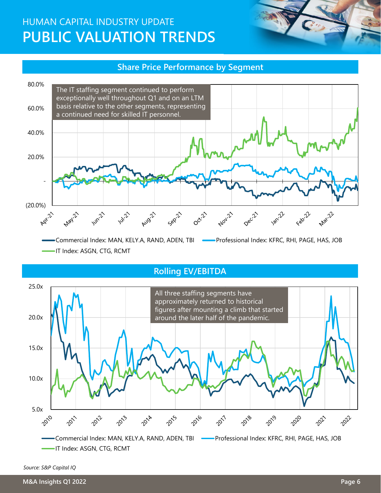## HUMAN CAPITAL INDUSTRY UPDATE **PUBLIC VALUATION TRENDS**

#### **Share Price Performance by Segment**



-IT Index: ASGN, CTG, RCMT

#### **Rolling EV/EBITDA**



*Source: S&P Capital IQ*